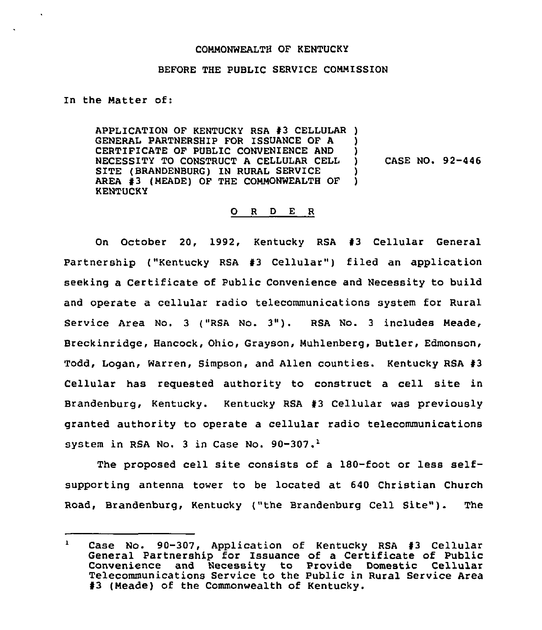## COMMONWEALTH OF KENTUCKY

## BEFORE THE PUBLIC SERVICE COMMISSION

In the Matter of:

APPLICATION OF KENTUCKY RSA #3 CELLULAR ) GENERAL PARTNERSHIP FOR ISSUANCE OF A CERTIFICATE OF PUBLIC CONVENIENCE AND NECESSITY TO CONSTRUCT A CELLULAR CELL SITE (BRANDENBURG) IN RURAL SERVICE AREA #3 (MEADE) OF THE COMMONWEALTH OF **KENTUCKY** )  $\mathbf{)}$ CASE NO. 92-446 ) )

## 0 <sup>R</sup> <sup>D</sup> E <sup>R</sup>

On October 20, 1992, Kentucky RSA #3 Cellular General Partnership ("Kentucky RSA #3 Cellular") filed an application seeking a Certificate of Public Convenience and Necessity to build and operate a cellular radio telecommunications system for Rural Service Area No. <sup>3</sup> ("RSA No. 3"). RSA No. <sup>3</sup> includes Meade, Breckinridge, Hancock, Ohio, Grayson, Muhlenberg, Butler, Edmonson, Todd, Logan, Warren, Simpson, and Allen counties. Kentucky RSA #3 Cellular has requested authority to construct a cell site in Brandenburg, Kentucky. Kentucky RSA #3 Cellular was previously granted authority to operate a cellular radio telecommunications system in RSA No. 3 in Case No. 90-307.<sup>1</sup>

The proposed cell site consists of a  $180$ -foot or less selfsupporting antenna tower to be located at 640 Christian Church Road, Brandenburg, Kentucky ("the Brandenburg Cell Site"). The

 $\mathbf{1}$ Case No. 90-307, Application of Kentucky RSA #3 Cellular General Partnership for Issuance of a Certificate of Public Convenience and Necessity to Provide Domestic Cellular Telecommunications Service to the Public in Rural Service Area<br>#3 (Meade) of the Commonwealth of Kentucky.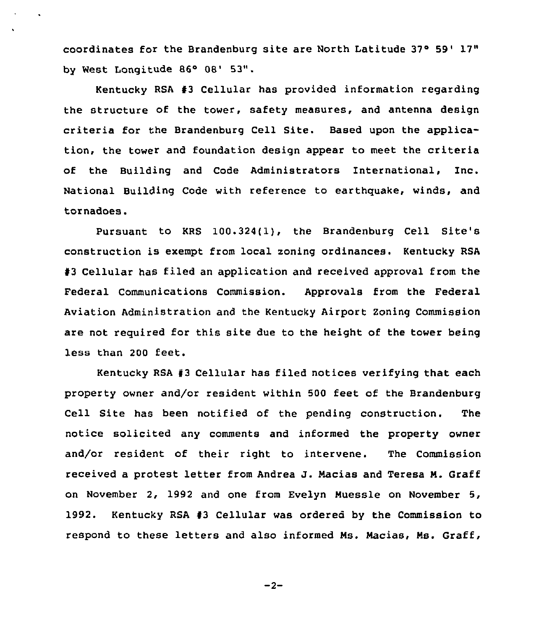coordinates for the Brandenburg site are North Latitude 37° 59' 17" by West Longitude 86° 08' 53".

Kentucky RSA 93 Cellular has provided information regarding the structure of the tower, safety measures, and antenna design criteria for the Brandenburg Cell Site. Based upon the application, the tower and foundation design appear to meet the criteria of the Building and Code Administrators International, Inc. National Building Code with reference to earthquake, winds, and tornadoes.

Pursuant to KRS 100.324(1), the Brandenburg Cell Site's construction is exempt from local zoning ordinances. Kentucky RSA 93 Cellular has filed an application and received approval from the Federal Communications Commission. Approvals from the Federal Aviation Administration and the Kentucky Airport Zoning Commission are not required for this site due to the height of the tower being less than 200 feet.

Kentucky RSA 43 Cellular has filed notices verifying that each property owner and/or resident within 500 feet of the Brandenburg Cell Site has been notified of the pending construction. The notice solicited any comments and informed the property owner and/or resident of their right to intervene. The Commission received <sup>a</sup> protest letter from Andrea J. Nacias and Teresa N. Graff on November 2, 1992 and one from Evelyn Nuessle on November 5, 1992. Kentucky RSA #3 Cellular was ordered by the Commission to respond to these letters and also informed Ns. Nacias, Ms. Graff,

 $-2-$